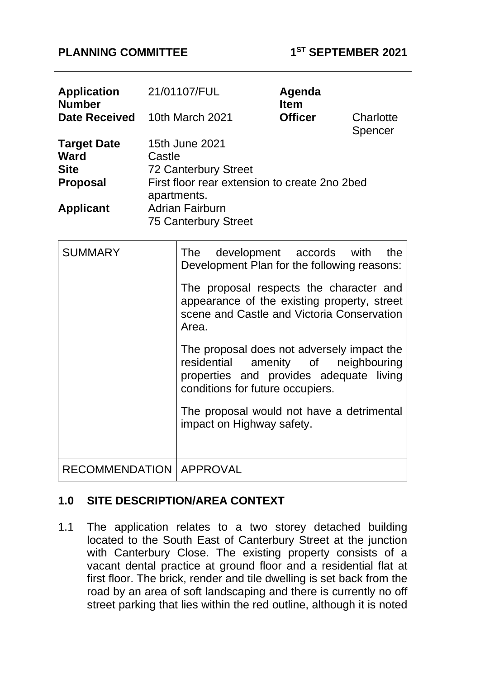#### **PLANNING COMMITTEE 1**

| Application 21/01107/FUL<br><b>Number</b><br><b>Date Received</b>                       |        | 10th March 2021                                                                                                                                                                                                                                                  |  | Agenda<br><b>Item</b><br><b>Officer</b> |  | Charlotte<br>Spencer |
|-----------------------------------------------------------------------------------------|--------|------------------------------------------------------------------------------------------------------------------------------------------------------------------------------------------------------------------------------------------------------------------|--|-----------------------------------------|--|----------------------|
| <b>Target Date</b><br><b>Ward</b><br><b>Site</b><br><b>Proposal</b><br><b>Applicant</b> | Castle | 15th June 2021<br><b>72 Canterbury Street</b><br>First floor rear extension to create 2no 2bed<br>apartments.<br><b>Adrian Fairburn</b><br><b>75 Canterbury Street</b>                                                                                           |  |                                         |  |                      |
| <b>SUMMARY</b>                                                                          |        | The<br>Development Plan for the following reasons:<br>The proposal respects the character and<br>appearance of the existing property, street<br>scene and Castle and Victoria Conservation<br>Area.<br>The proposal does not adversely impact the<br>residential |  | development accords with<br>amenity of  |  | the<br>neighbouring  |

properties and provides adequate living

The proposal would not have a detrimental

conditions for future occupiers.

impact on Highway safety.

## **1.0 SITE DESCRIPTION/AREA CONTEXT**

RECOMMENDATION | APPROVAL

1.1 The application relates to a two storey detached building located to the South East of Canterbury Street at the junction with Canterbury Close. The existing property consists of a vacant dental practice at ground floor and a residential flat at first floor. The brick, render and tile dwelling is set back from the road by an area of soft landscaping and there is currently no off street parking that lies within the red outline, although it is noted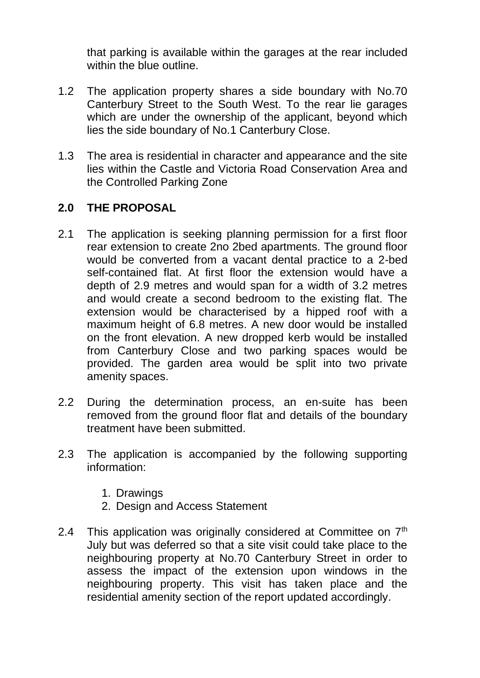that parking is available within the garages at the rear included within the blue outline.

- 1.2 The application property shares a side boundary with No.70 Canterbury Street to the South West. To the rear lie garages which are under the ownership of the applicant, beyond which lies the side boundary of No.1 Canterbury Close.
- 1.3 The area is residential in character and appearance and the site lies within the Castle and Victoria Road Conservation Area and the Controlled Parking Zone

### **2.0 THE PROPOSAL**

- 2.1 The application is seeking planning permission for a first floor rear extension to create 2no 2bed apartments. The ground floor would be converted from a vacant dental practice to a 2-bed self-contained flat. At first floor the extension would have a depth of 2.9 metres and would span for a width of 3.2 metres and would create a second bedroom to the existing flat. The extension would be characterised by a hipped roof with a maximum height of 6.8 metres. A new door would be installed on the front elevation. A new dropped kerb would be installed from Canterbury Close and two parking spaces would be provided. The garden area would be split into two private amenity spaces.
- 2.2 During the determination process, an en-suite has been removed from the ground floor flat and details of the boundary treatment have been submitted.
- 2.3 The application is accompanied by the following supporting information:
	- 1. Drawings
	- 2. Design and Access Statement
- 2.4 This application was originally considered at Committee on  $7<sup>th</sup>$ July but was deferred so that a site visit could take place to the neighbouring property at No.70 Canterbury Street in order to assess the impact of the extension upon windows in the neighbouring property. This visit has taken place and the residential amenity section of the report updated accordingly.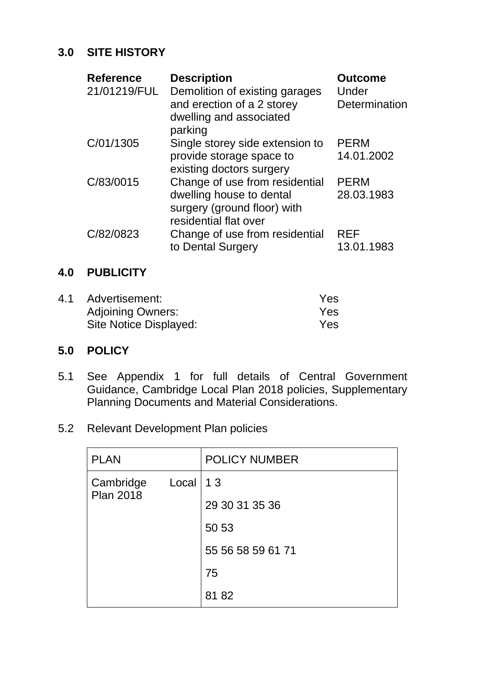## **3.0 SITE HISTORY**

| <b>Reference</b><br>21/01219/FUL | <b>Description</b><br>Demolition of existing garages<br>and erection of a 2 storey<br>dwelling and associated<br>parking | <b>Outcome</b><br>Under<br>Determination |
|----------------------------------|--------------------------------------------------------------------------------------------------------------------------|------------------------------------------|
| C/01/1305                        | Single storey side extension to<br>provide storage space to<br>existing doctors surgery                                  | <b>PERM</b><br>14.01.2002                |
| C/83/0015                        | Change of use from residential<br>dwelling house to dental<br>surgery (ground floor) with<br>residential flat over       | <b>PERM</b><br>28.03.1983                |
| C/82/0823                        | Change of use from residential<br>to Dental Surgery                                                                      | <b>REF</b><br>13.01.1983                 |

### **4.0 PUBLICITY**

| 4.1 | Advertisement:           | Yes |
|-----|--------------------------|-----|
|     | <b>Adjoining Owners:</b> | Yes |
|     | Site Notice Displayed:   | Yes |

## **5.0 POLICY**

- 5.1 See Appendix 1 for full details of Central Government Guidance, Cambridge Local Plan 2018 policies, Supplementary Planning Documents and Material Considerations.
- 5.2 Relevant Development Plan policies

| <b>PLAN</b>                   |              | <b>POLICY NUMBER</b> |
|-------------------------------|--------------|----------------------|
| Cambridge<br><b>Plan 2018</b> | $Local$   13 |                      |
|                               |              | 29 30 31 35 36       |
|                               |              | 50 53                |
|                               |              | 55 56 58 59 61 71    |
|                               |              | 75                   |
|                               |              | 81 82                |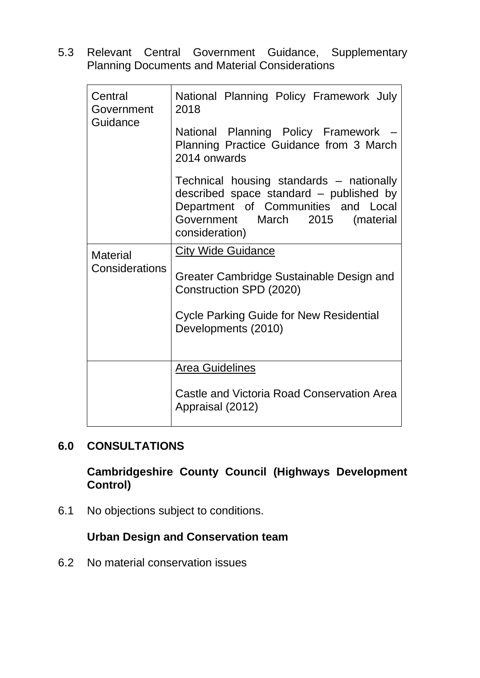5.3 Relevant Central Government Guidance, Supplementary Planning Documents and Material Considerations

| Central<br>Government | National Planning Policy Framework July<br>2018                                                                                                                                 |  |  |  |  |
|-----------------------|---------------------------------------------------------------------------------------------------------------------------------------------------------------------------------|--|--|--|--|
| Guidance              | National Planning Policy Framework<br>Planning Practice Guidance from 3 March<br>2014 onwards                                                                                   |  |  |  |  |
|                       | Technical housing standards – nationally<br>described space standard - published by<br>Department of Communities and Local<br>Government March 2015 (material<br>consideration) |  |  |  |  |
| <b>Material</b>       | <b>City Wide Guidance</b>                                                                                                                                                       |  |  |  |  |
| Considerations        | Greater Cambridge Sustainable Design and<br>Construction SPD (2020)                                                                                                             |  |  |  |  |
|                       | <b>Cycle Parking Guide for New Residential</b><br>Developments (2010)                                                                                                           |  |  |  |  |
|                       | <b>Area Guidelines</b>                                                                                                                                                          |  |  |  |  |
|                       | <b>Castle and Victoria Road Conservation Area</b>                                                                                                                               |  |  |  |  |
|                       | Appraisal (2012)                                                                                                                                                                |  |  |  |  |

#### **6.0 CONSULTATIONS**

**Cambridgeshire County Council (Highways Development Control)**

6.1 No objections subject to conditions.

## **Urban Design and Conservation team**

6.2 No material conservation issues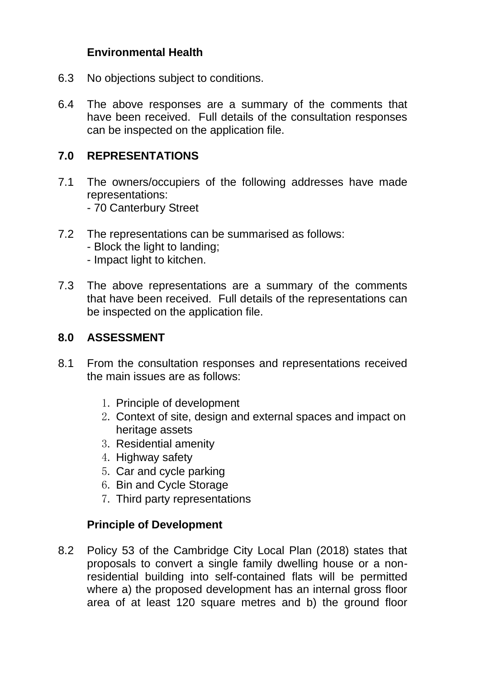### **Environmental Health**

- 6.3 No objections subject to conditions.
- 6.4 The above responses are a summary of the comments that have been received. Full details of the consultation responses can be inspected on the application file.

#### **7.0 REPRESENTATIONS**

- 7.1 The owners/occupiers of the following addresses have made representations: - 70 Canterbury Street
- 7.2 The representations can be summarised as follows:
	- Block the light to landing;
	- Impact light to kitchen.
- 7.3 The above representations are a summary of the comments that have been received. Full details of the representations can be inspected on the application file.

#### **8.0 ASSESSMENT**

- 8.1 From the consultation responses and representations received the main issues are as follows:
	- 1. Principle of development
	- 2. Context of site, design and external spaces and impact on heritage assets
	- 3. Residential amenity
	- 4. Highway safety
	- 5. Car and cycle parking
	- 6. Bin and Cycle Storage
	- 7. Third party representations

#### **Principle of Development**

8.2 Policy 53 of the Cambridge City Local Plan (2018) states that proposals to convert a single family dwelling house or a nonresidential building into self-contained flats will be permitted where a) the proposed development has an internal gross floor area of at least 120 square metres and b) the ground floor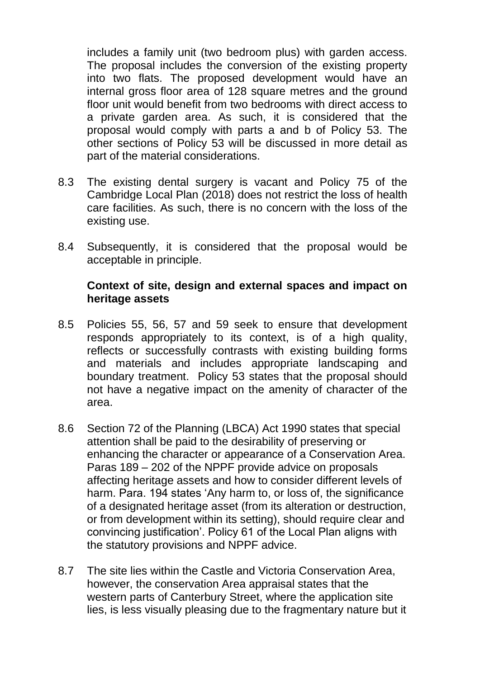includes a family unit (two bedroom plus) with garden access. The proposal includes the conversion of the existing property into two flats. The proposed development would have an internal gross floor area of 128 square metres and the ground floor unit would benefit from two bedrooms with direct access to a private garden area. As such, it is considered that the proposal would comply with parts a and b of Policy 53. The other sections of Policy 53 will be discussed in more detail as part of the material considerations.

- 8.3 The existing dental surgery is vacant and Policy 75 of the Cambridge Local Plan (2018) does not restrict the loss of health care facilities. As such, there is no concern with the loss of the existing use.
- 8.4 Subsequently, it is considered that the proposal would be acceptable in principle.

#### **Context of site, design and external spaces and impact on heritage assets**

- 8.5 Policies 55, 56, 57 and 59 seek to ensure that development responds appropriately to its context, is of a high quality, reflects or successfully contrasts with existing building forms and materials and includes appropriate landscaping and boundary treatment. Policy 53 states that the proposal should not have a negative impact on the amenity of character of the area.
- 8.6 Section 72 of the Planning (LBCA) Act 1990 states that special attention shall be paid to the desirability of preserving or enhancing the character or appearance of a Conservation Area. Paras 189 – 202 of the NPPF provide advice on proposals affecting heritage assets and how to consider different levels of harm. Para. 194 states 'Any harm to, or loss of, the significance of a designated heritage asset (from its alteration or destruction, or from development within its setting), should require clear and convincing justification'. Policy 61 of the Local Plan aligns with the statutory provisions and NPPF advice.
- 8.7 The site lies within the Castle and Victoria Conservation Area, however, the conservation Area appraisal states that the western parts of Canterbury Street, where the application site lies, is less visually pleasing due to the fragmentary nature but it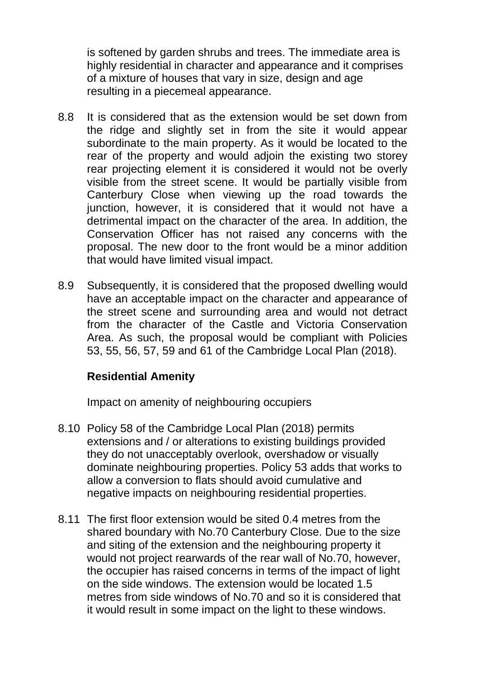is softened by garden shrubs and trees. The immediate area is highly residential in character and appearance and it comprises of a mixture of houses that vary in size, design and age resulting in a piecemeal appearance.

- 8.8 It is considered that as the extension would be set down from the ridge and slightly set in from the site it would appear subordinate to the main property. As it would be located to the rear of the property and would adjoin the existing two storey rear projecting element it is considered it would not be overly visible from the street scene. It would be partially visible from Canterbury Close when viewing up the road towards the junction, however, it is considered that it would not have a detrimental impact on the character of the area. In addition, the Conservation Officer has not raised any concerns with the proposal. The new door to the front would be a minor addition that would have limited visual impact.
- 8.9 Subsequently, it is considered that the proposed dwelling would have an acceptable impact on the character and appearance of the street scene and surrounding area and would not detract from the character of the Castle and Victoria Conservation Area. As such, the proposal would be compliant with Policies 53, 55, 56, 57, 59 and 61 of the Cambridge Local Plan (2018).

#### **Residential Amenity**

Impact on amenity of neighbouring occupiers

- 8.10 Policy 58 of the Cambridge Local Plan (2018) permits extensions and / or alterations to existing buildings provided they do not unacceptably overlook, overshadow or visually dominate neighbouring properties. Policy 53 adds that works to allow a conversion to flats should avoid cumulative and negative impacts on neighbouring residential properties.
- 8.11 The first floor extension would be sited 0.4 metres from the shared boundary with No.70 Canterbury Close. Due to the size and siting of the extension and the neighbouring property it would not project rearwards of the rear wall of No.70, however, the occupier has raised concerns in terms of the impact of light on the side windows. The extension would be located 1.5 metres from side windows of No.70 and so it is considered that it would result in some impact on the light to these windows.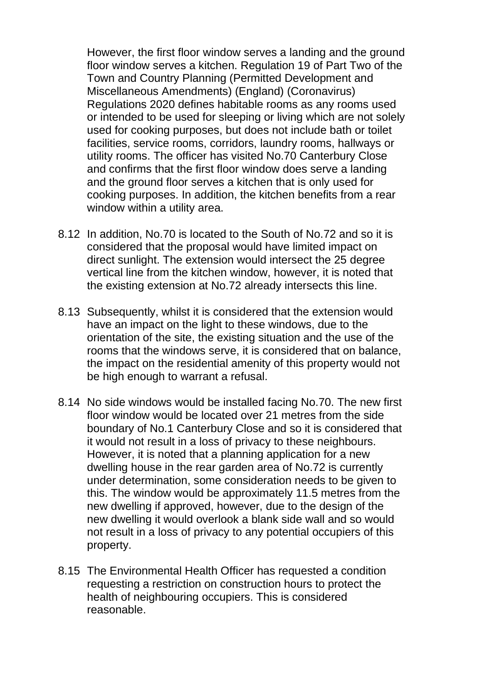However, the first floor window serves a landing and the ground floor window serves a kitchen. Regulation 19 of Part Two of the Town and Country Planning (Permitted Development and Miscellaneous Amendments) (England) (Coronavirus) Regulations 2020 defines habitable rooms as any rooms used or intended to be used for sleeping or living which are not solely used for cooking purposes, but does not include bath or toilet facilities, service rooms, corridors, laundry rooms, hallways or utility rooms. The officer has visited No.70 Canterbury Close and confirms that the first floor window does serve a landing and the ground floor serves a kitchen that is only used for cooking purposes. In addition, the kitchen benefits from a rear window within a utility area.

- 8.12 In addition, No.70 is located to the South of No.72 and so it is considered that the proposal would have limited impact on direct sunlight. The extension would intersect the 25 degree vertical line from the kitchen window, however, it is noted that the existing extension at No.72 already intersects this line.
- 8.13 Subsequently, whilst it is considered that the extension would have an impact on the light to these windows, due to the orientation of the site, the existing situation and the use of the rooms that the windows serve, it is considered that on balance, the impact on the residential amenity of this property would not be high enough to warrant a refusal.
- 8.14 No side windows would be installed facing No.70. The new first floor window would be located over 21 metres from the side boundary of No.1 Canterbury Close and so it is considered that it would not result in a loss of privacy to these neighbours. However, it is noted that a planning application for a new dwelling house in the rear garden area of No.72 is currently under determination, some consideration needs to be given to this. The window would be approximately 11.5 metres from the new dwelling if approved, however, due to the design of the new dwelling it would overlook a blank side wall and so would not result in a loss of privacy to any potential occupiers of this property.
- 8.15 The Environmental Health Officer has requested a condition requesting a restriction on construction hours to protect the health of neighbouring occupiers. This is considered reasonable.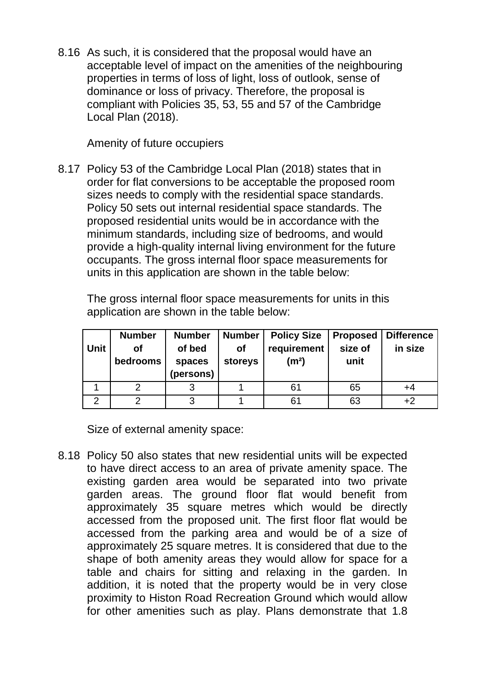8.16 As such, it is considered that the proposal would have an acceptable level of impact on the amenities of the neighbouring properties in terms of loss of light, loss of outlook, sense of dominance or loss of privacy. Therefore, the proposal is compliant with Policies 35, 53, 55 and 57 of the Cambridge Local Plan (2018).

Amenity of future occupiers

8.17 Policy 53 of the Cambridge Local Plan (2018) states that in order for flat conversions to be acceptable the proposed room sizes needs to comply with the residential space standards. Policy 50 sets out internal residential space standards. The proposed residential units would be in accordance with the minimum standards, including size of bedrooms, and would provide a high-quality internal living environment for the future occupants. The gross internal floor space measurements for units in this application are shown in the table below:

The gross internal floor space measurements for units in this application are shown in the table below:

| Unit | <b>Number</b><br>Οf<br>bedrooms | <b>Number</b><br>of bed<br>spaces<br>(persons) | <b>Number</b><br>Οf<br>storeys | <b>Policy Size</b><br>requirement<br>(m <sup>2</sup> ) | <b>Proposed</b><br>size of<br>unit | <b>Difference</b><br>in size |
|------|---------------------------------|------------------------------------------------|--------------------------------|--------------------------------------------------------|------------------------------------|------------------------------|
|      |                                 |                                                |                                | 61                                                     | 65                                 | +4                           |
| റ    |                                 | ◠                                              |                                | 61                                                     | 63                                 | $+2$                         |

Size of external amenity space:

8.18 Policy 50 also states that new residential units will be expected to have direct access to an area of private amenity space. The existing garden area would be separated into two private garden areas. The ground floor flat would benefit from approximately 35 square metres which would be directly accessed from the proposed unit. The first floor flat would be accessed from the parking area and would be of a size of approximately 25 square metres. It is considered that due to the shape of both amenity areas they would allow for space for a table and chairs for sitting and relaxing in the garden. In addition, it is noted that the property would be in very close proximity to Histon Road Recreation Ground which would allow for other amenities such as play. Plans demonstrate that 1.8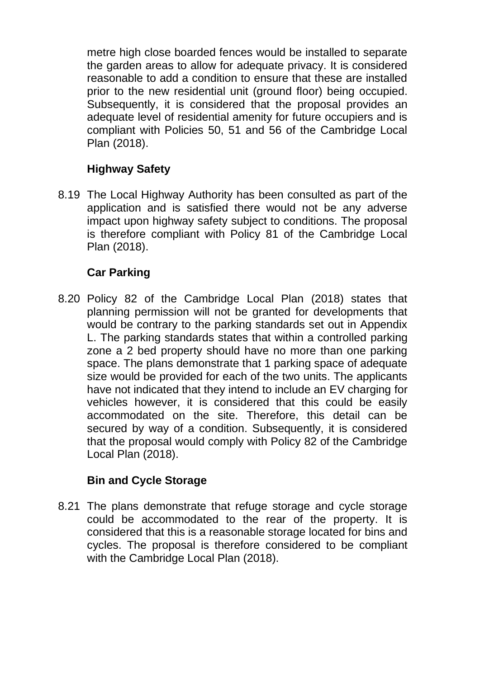metre high close boarded fences would be installed to separate the garden areas to allow for adequate privacy. It is considered reasonable to add a condition to ensure that these are installed prior to the new residential unit (ground floor) being occupied. Subsequently, it is considered that the proposal provides an adequate level of residential amenity for future occupiers and is compliant with Policies 50, 51 and 56 of the Cambridge Local Plan (2018).

# **Highway Safety**

8.19 The Local Highway Authority has been consulted as part of the application and is satisfied there would not be any adverse impact upon highway safety subject to conditions. The proposal is therefore compliant with Policy 81 of the Cambridge Local Plan (2018).

### **Car Parking**

8.20 Policy 82 of the Cambridge Local Plan (2018) states that planning permission will not be granted for developments that would be contrary to the parking standards set out in Appendix L. The parking standards states that within a controlled parking zone a 2 bed property should have no more than one parking space. The plans demonstrate that 1 parking space of adequate size would be provided for each of the two units. The applicants have not indicated that they intend to include an EV charging for vehicles however, it is considered that this could be easily accommodated on the site. Therefore, this detail can be secured by way of a condition. Subsequently, it is considered that the proposal would comply with Policy 82 of the Cambridge Local Plan (2018).

#### **Bin and Cycle Storage**

8.21 The plans demonstrate that refuge storage and cycle storage could be accommodated to the rear of the property. It is considered that this is a reasonable storage located for bins and cycles. The proposal is therefore considered to be compliant with the Cambridge Local Plan (2018).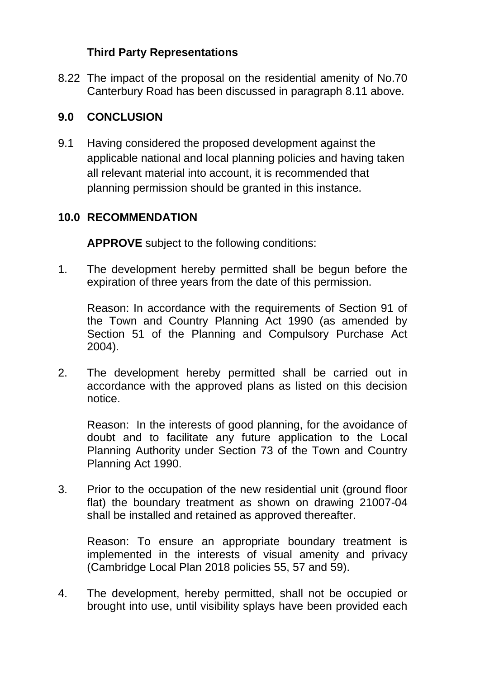## **Third Party Representations**

8.22 The impact of the proposal on the residential amenity of No.70 Canterbury Road has been discussed in paragraph 8.11 above.

# **9.0 CONCLUSION**

9.1 Having considered the proposed development against the applicable national and local planning policies and having taken all relevant material into account, it is recommended that planning permission should be granted in this instance.

## **10.0 RECOMMENDATION**

**APPROVE** subject to the following conditions:

1. The development hereby permitted shall be begun before the expiration of three years from the date of this permission.

Reason: In accordance with the requirements of Section 91 of the Town and Country Planning Act 1990 (as amended by Section 51 of the Planning and Compulsory Purchase Act 2004).

2. The development hereby permitted shall be carried out in accordance with the approved plans as listed on this decision notice.

Reason: In the interests of good planning, for the avoidance of doubt and to facilitate any future application to the Local Planning Authority under Section 73 of the Town and Country Planning Act 1990.

3. Prior to the occupation of the new residential unit (ground floor flat) the boundary treatment as shown on drawing 21007-04 shall be installed and retained as approved thereafter.

Reason: To ensure an appropriate boundary treatment is implemented in the interests of visual amenity and privacy (Cambridge Local Plan 2018 policies 55, 57 and 59).

4. The development, hereby permitted, shall not be occupied or brought into use, until visibility splays have been provided each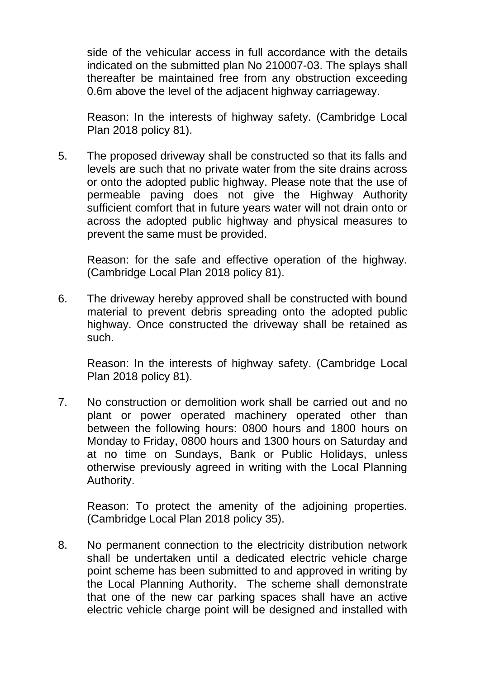side of the vehicular access in full accordance with the details indicated on the submitted plan No 210007-03. The splays shall thereafter be maintained free from any obstruction exceeding 0.6m above the level of the adjacent highway carriageway.

Reason: In the interests of highway safety. (Cambridge Local Plan 2018 policy 81).

5. The proposed driveway shall be constructed so that its falls and levels are such that no private water from the site drains across or onto the adopted public highway. Please note that the use of permeable paving does not give the Highway Authority sufficient comfort that in future years water will not drain onto or across the adopted public highway and physical measures to prevent the same must be provided.

Reason: for the safe and effective operation of the highway. (Cambridge Local Plan 2018 policy 81).

6. The driveway hereby approved shall be constructed with bound material to prevent debris spreading onto the adopted public highway. Once constructed the driveway shall be retained as such.

Reason: In the interests of highway safety. (Cambridge Local Plan 2018 policy 81).

7. No construction or demolition work shall be carried out and no plant or power operated machinery operated other than between the following hours: 0800 hours and 1800 hours on Monday to Friday, 0800 hours and 1300 hours on Saturday and at no time on Sundays, Bank or Public Holidays, unless otherwise previously agreed in writing with the Local Planning Authority.

Reason: To protect the amenity of the adjoining properties. (Cambridge Local Plan 2018 policy 35).

8. No permanent connection to the electricity distribution network shall be undertaken until a dedicated electric vehicle charge point scheme has been submitted to and approved in writing by the Local Planning Authority. The scheme shall demonstrate that one of the new car parking spaces shall have an active electric vehicle charge point will be designed and installed with